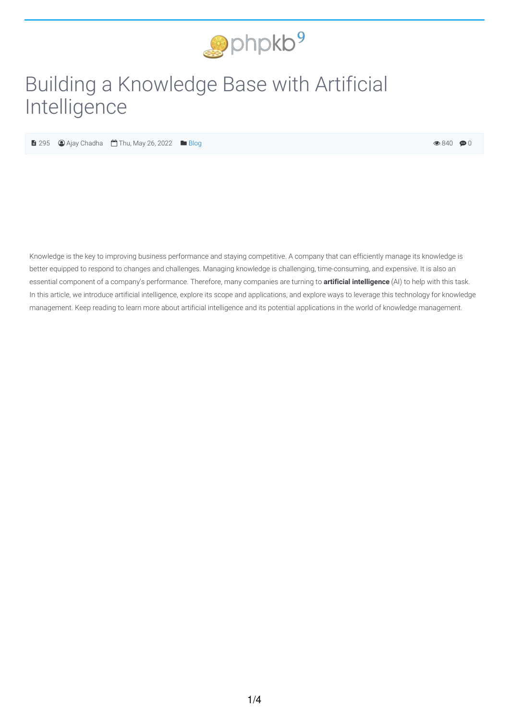

# Building a Knowledge Base with Artificial Intelligence

 $\bigoplus$  295  $\bigoplus$  Ajay Chadha  $\bigoplus$  Thu, May 26, 2022  $\bigoplus$  [Blog](https://www.phpkb.com/kb/category/knowledge-management/blog/40/)

 $\circledast$  840  $\circledast$  0

Knowledge is the key to improving business performance and staying competitive. A company that can efficiently manage its knowledge is better equipped to respond to changes and challenges. Managing knowledge is challenging, time-consuming, and expensive. It is also an essential component of a company's performance. Therefore, many companies are turning to **artificial intelligence** (AI) to help with this task. In this article, we introduce artificial intelligence, explore its scope and applications, and explore ways to leverage this technology for knowledge management. Keep reading to learn more about artificial intelligence and its potential applications in the world of knowledge management.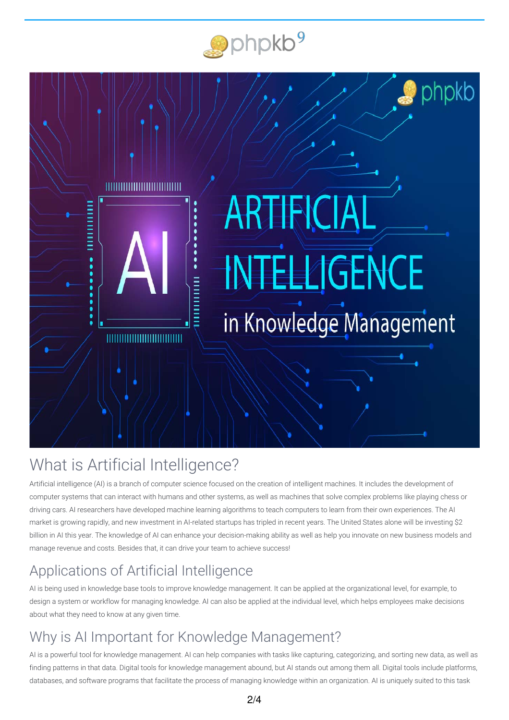



## What is Artificial Intelligence?

Artificial intelligence (AI) is a branch of computer science focused on the creation of intelligent machines. It includes the development of computer systems that can interact with humans and other systems, as well as machines that solve complex problems like playing chess or driving cars. AI researchers have developed machine learning algorithms to teach computers to learn from their own experiences. The AI market is growing rapidly, and new investment in AI-related startups has tripled in recent years. The United States alone will be investing \$2 billion in AI this year. The knowledge of AI can enhance your decision-making ability as well as help you innovate on new business models and manage revenue and costs. Besides that, it can drive your team to achieve success!

## Applications of Artificial Intelligence

AI is being used in knowledge base tools to improve knowledge management. It can be applied at the organizational level, for example, to design a system or workflow for managing knowledge. AI can also be applied at the individual level, which helps employees make decisions about what they need to know at any given time.

### Why is AI Important for Knowledge Management?

AI is a powerful tool for knowledge management. AI can help companies with tasks like capturing, categorizing, and sorting new data, as well as finding patterns in that data. Digital tools for knowledge management abound, but AI stands out among them all. Digital tools include platforms, databases, and software programs that facilitate the process of managing knowledge within an organization. AI is uniquely suited to this task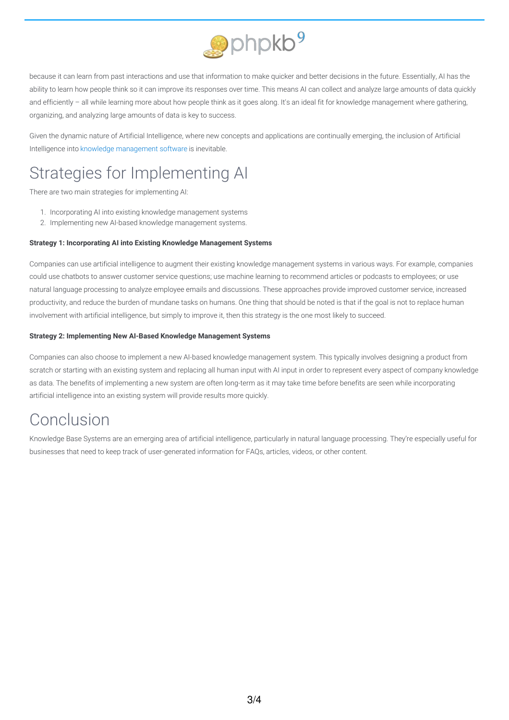

because it can learn from past interactions and use that information to make quicker and better decisions in the future. Essentially, AI has the ability to learn how people think so it can improve its responses over time. This means AI can collect and analyze large amounts of data quickly and efficiently – all while learning more about how people think as it goes along. It's an ideal fit for knowledge management where gathering, organizing, and analyzing large amounts of data is key to success.

Given the dynamic nature of Artificial Intelligence, where new concepts and applications are continually emerging, the inclusion of Artificial Intelligence into knowledge [management](https://www.phpkb.com/knowledge-management-software) software is inevitable.

## Strategies for Implementing AI

There are two main strategies for implementing AI:

- 1. Incorporating AI into existing knowledge management systems
- 2. Implementing new AI-based knowledge management systems.

#### **Strategy 1: Incorporating AI into Existing Knowledge Management Systems**

Companies can use artificial intelligence to augment their existing knowledge management systems in various ways. For example, companies could use chatbots to answer customer service questions; use machine learning to recommend articles or podcasts to employees; or use natural language processing to analyze employee emails and discussions. These approaches provide improved customer service, increased productivity, and reduce the burden of mundane tasks on humans. One thing that should be noted is that if the goal is not to replace human involvement with artificial intelligence, but simply to improve it, then this strategy is the one most likely to succeed.

#### **Strategy 2: Implementing New AI-Based Knowledge Management Systems**

Companies can also choose to implement a new AI-based knowledge management system. This typically involves designing a product from scratch or starting with an existing system and replacing all human input with AI input in order to represent every aspect of company knowledge as data. The benefits of implementing a new system are often long-term as it may take time before benefits are seen while incorporating artificial intelligence into an existing system will provide results more quickly.

### Conclusion

Knowledge Base Systems are an emerging area of artificial intelligence, particularly in natural language processing. They're especially useful for businesses that need to keep track of user-generated information for FAQs, articles, videos, or other content.